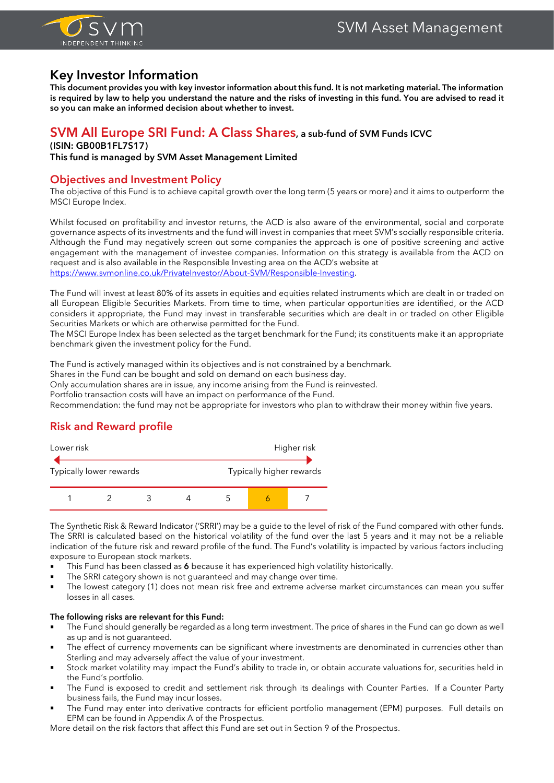

# **Key Investor Information**

**This document provides you with key investor information about this fund. It is not marketing material. The information is required by law to help you understand the nature and the risks of investing in this fund. You are advised to read it so you can make an informed decision about whether to invest.**

### **SVM All Europe SRI Fund: A Class Shares, a sub-fund of SVM Funds ICVC**

#### **(ISIN: GB00B1FL7S17)**

**This fund is managed by SVM Asset Management Limited**

#### **Objectives and Investment Policy**

The objective of this Fund is to achieve capital growth over the long term (5 years or more) and it aims to outperform the MSCI Europe Index.

Whilst focused on profitability and investor returns, the ACD is also aware of the environmental, social and corporate governance aspects of its investments and the fund will invest in companies that meet SVM's socially responsible criteria. Although the Fund may negatively screen out some companies the approach is one of positive screening and active engagement with the management of investee companies. Information on this strategy is available from the ACD on request and is also available in the Responsible Investing area on the ACD's website at [https://www.svmonline.co.uk/PrivateInvestor/About-SVM/Responsible-Investing.](https://www.svmonline.co.uk/PrivateInvestor/About-SVM/Responsible-Investing)

The Fund will invest at least 80% of its assets in equities and equities related instruments which are dealt in or traded on all European Eligible Securities Markets. From time to time, when particular opportunities are identified, or the ACD considers it appropriate, the Fund may invest in transferable securities which are dealt in or traded on other Eligible Securities Markets or which are otherwise permitted for the Fund.

The MSCI Europe Index has been selected as the target benchmark for the Fund; its constituents make it an appropriate benchmark given the investment policy for the Fund.

The Fund is actively managed within its objectives and is not constrained by a benchmark.

Shares in the Fund can be bought and sold on demand on each business day.

Only accumulation shares are in issue, any income arising from the Fund is reinvested.

Portfolio transaction costs will have an impact on performance of the Fund.

Recommendation: the fund may not be appropriate for investors who plan to withdraw their money within five years.

# **Risk and Reward profile**



The Synthetic Risk & Reward Indicator ('SRRI') may be a guide to the level of risk of the Fund compared with other funds. The SRRI is calculated based on the historical volatility of the fund over the last 5 years and it may not be a reliable indication of the future risk and reward profile of the fund. The Fund's volatility is impacted by various factors including exposure to European stock markets.

- This Fund has been classed as 6 because it has experienced high volatility historically.
- The SRRI category shown is not guaranteed and may change over time.
- The lowest category (1) does not mean risk free and extreme adverse market circumstances can mean you suffer losses in all cases.

#### **The following risks are relevant for this Fund:**

- The Fund should generally be regarded as a long term investment. The price of shares in the Fund can go down as well as up and is not guaranteed.
- The effect of currency movements can be significant where investments are denominated in currencies other than Sterling and may adversely affect the value of your investment.
- Stock market volatility may impact the Fund's ability to trade in, or obtain accurate valuations for, securities held in the Fund's portfolio.
- The Fund is exposed to credit and settlement risk through its dealings with Counter Parties. If a Counter Party business fails, the Fund may incur losses.
- The Fund may enter into derivative contracts for efficient portfolio management (EPM) purposes. Full details on EPM can be found in Appendix A of the Prospectus.

More detail on the risk factors that affect this Fund are set out in Section 9 of the Prospectus.